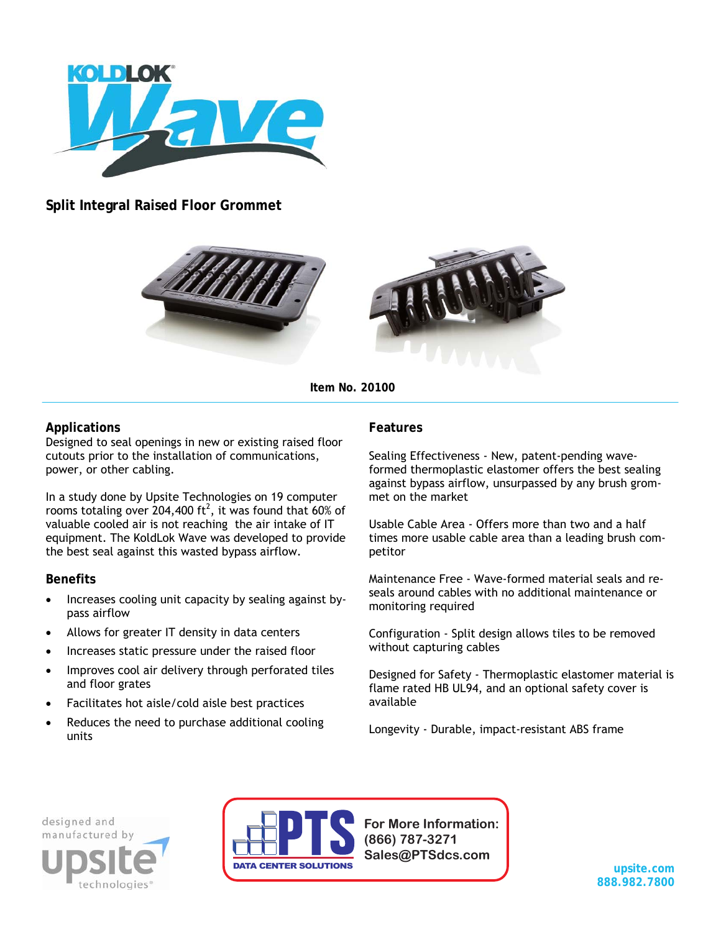

**Split Integral Raised Floor Grommet** 





**Item No. 20100** 

# **Applications**

Designed to seal openings in new or existing raised floor cutouts prior to the installation of communications, power, or other cabling.

In a study done by Upsite Technologies on 19 computer rooms totaling over 204,400 ft<sup>2</sup>, it was found that 60% of valuable cooled air is not reaching the air intake of IT equipment. The KoldLok Wave was developed to provide the best seal against this wasted bypass airflow.

#### **Benefits**

- Increases cooling unit capacity by sealing against bypass airflow
- Allows for greater IT density in data centers
- Increases static pressure under the raised floor
- Improves cool air delivery through perforated tiles and floor grates
- Facilitates hot aisle/cold aisle best practices
- Reduces the need to purchase additional cooling units

## **Features**

Sealing Effectiveness - New, patent-pending waveformed thermoplastic elastomer offers the best sealing against bypass airflow, unsurpassed by any brush grommet on the market

Usable Cable Area - Offers more than two and a half times more usable cable area than a leading brush competitor

Maintenance Free - Wave-formed material seals and reseals around cables with no additional maintenance or monitoring required

Configuration - Split design allows tiles to be removed without capturing cables

Designed for Safety - Thermoplastic elastomer material is flame rated HB UL94, and an optional safety cover is available

Longevity - Durable, impact-resistant ABS frame

designed and technologies



**For More Information: (866) 787-3271 Sales@PTSdcs.com**

**upsite.com 888.982.7800**